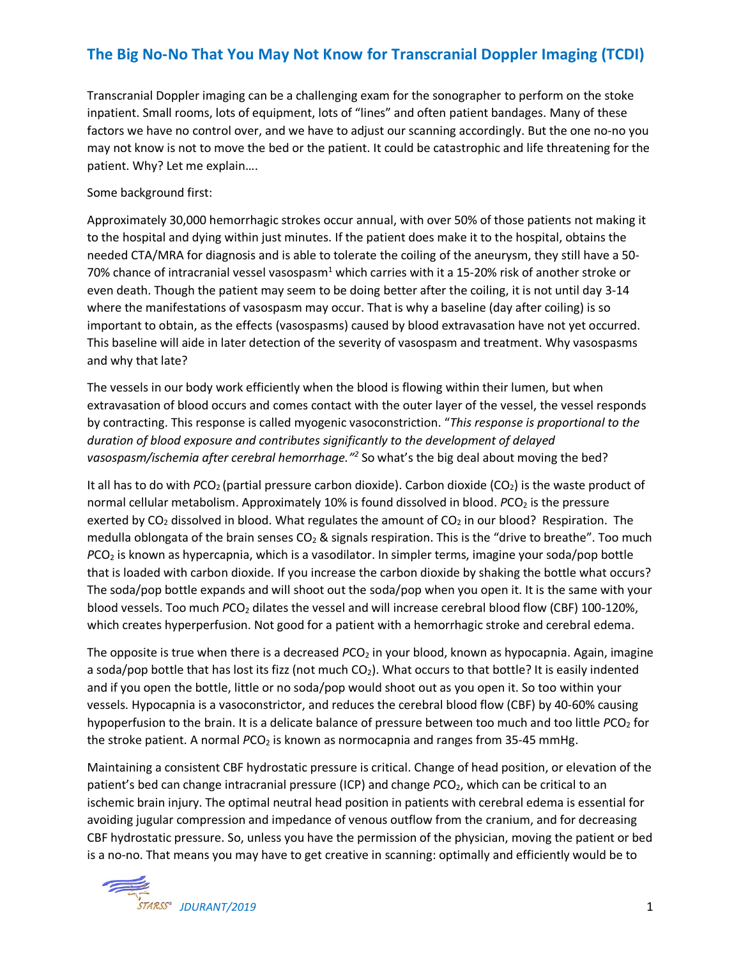## **The Big No-No That You May Not Know for Transcranial Doppler Imaging (TCDI)**

Transcranial Doppler imaging can be a challenging exam for the sonographer to perform on the stoke inpatient. Small rooms, lots of equipment, lots of "lines" and often patient bandages. Many of these factors we have no control over, and we have to adjust our scanning accordingly. But the one no-no you may not know is not to move the bed or the patient. It could be catastrophic and life threatening for the patient. Why? Let me explain….

Some background first:

Approximately 30,000 hemorrhagic strokes occur annual, with over 50% of those patients not making it to the hospital and dying within just minutes. If the patient does make it to the hospital, obtains the needed CTA/MRA for diagnosis and is able to tolerate the coiling of the aneurysm, they still have a 50- 70% chance of intracranial vessel vasospasm<sup>1</sup> which carries with it a 15-20% risk of another stroke or even death. Though the patient may seem to be doing better after the coiling, it is not until day 3-14 where the manifestations of vasospasm may occur. That is why a baseline (day after coiling) is so important to obtain, as the effects (vasospasms) caused by blood extravasation have not yet occurred. This baseline will aide in later detection of the severity of vasospasm and treatment. Why vasospasms and why that late?

The vessels in our body work efficiently when the blood is flowing within their lumen, but when extravasation of blood occurs and comes contact with the outer layer of the vessel, the vessel responds by contracting. This response is called myogenic vasoconstriction. "*This response is proportional to the duration of blood exposure and contributes significantly to the development of delayed*  vasospasm/ischemia after cerebral hemorrhage.<sup>"2</sup> So what's the big deal about moving the bed?

It all has to do with *PCO*<sub>2</sub> (partial pressure carbon dioxide). Carbon dioxide (CO<sub>2</sub>) is the waste product of normal cellular metabolism. Approximately 10% is found dissolved in blood. *PCO*<sub>2</sub> is the pressure exerted by  $CO<sub>2</sub>$  dissolved in blood. What regulates the amount of  $CO<sub>2</sub>$  in our blood? Respiration. The medulla oblongata of the brain senses  $CO<sub>2</sub>$  & signals respiration. This is the "drive to breathe". Too much *PCO<sub>2</sub>* is known as hypercapnia, which is a vasodilator. In simpler terms, imagine your soda/pop bottle that is loaded with carbon dioxide. If you increase the carbon dioxide by shaking the bottle what occurs? The soda/pop bottle expands and will shoot out the soda/pop when you open it. It is the same with your blood vessels. Too much *PCO<sub>2</sub>* dilates the vessel and will increase cerebral blood flow (CBF) 100-120%, which creates hyperperfusion. Not good for a patient with a hemorrhagic stroke and cerebral edema.

The opposite is true when there is a decreased *PCO<sub>2</sub>* in your blood, known as hypocapnia. Again, imagine a soda/pop bottle that has lost its fizz (not much CO<sub>2</sub>). What occurs to that bottle? It is easily indented and if you open the bottle, little or no soda/pop would shoot out as you open it. So too within your vessels. Hypocapnia is a vasoconstrictor, and reduces the cerebral blood flow (CBF) by 40-60% causing hypoperfusion to the brain. It is a delicate balance of pressure between too much and too little *PCO*<sub>2</sub> for the stroke patient. A normal *PCO*<sub>2</sub> is known as normocapnia and ranges from 35-45 mmHg.

Maintaining a consistent CBF hydrostatic pressure is critical. Change of head position, or elevation of the patient's bed can change intracranial pressure (ICP) and change *PCO<sub>2</sub>*, which can be critical to an ischemic brain injury. The optimal neutral head position in patients with cerebral edema is essential for avoiding jugular compression and impedance of venous outflow from the cranium, and for decreasing CBF hydrostatic pressure. So, unless you have the permission of the physician, moving the patient or bed is a no-no. That means you may have to get creative in scanning: optimally and efficiently would be to